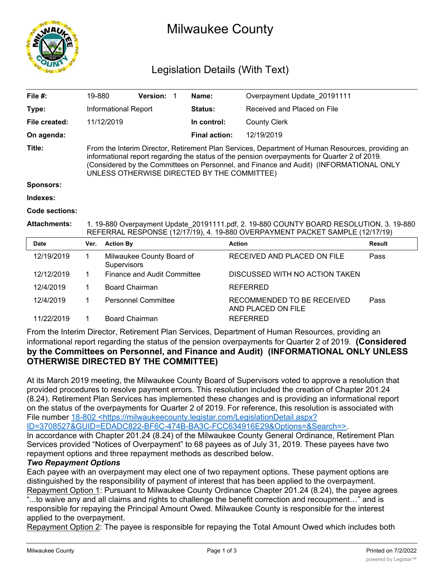

## Milwaukee County

## Legislation Details (With Text)

| File $#$ :          | 19-880                                                                                                                                                                                                                                                                                                                                    |                       | <b>Version:</b>                    | 1 | Name:                | Overpayment Update 20191111                      |               |  |  |
|---------------------|-------------------------------------------------------------------------------------------------------------------------------------------------------------------------------------------------------------------------------------------------------------------------------------------------------------------------------------------|-----------------------|------------------------------------|---|----------------------|--------------------------------------------------|---------------|--|--|
| Type:               |                                                                                                                                                                                                                                                                                                                                           | Informational Report  |                                    |   | Status:              | Received and Placed on File                      |               |  |  |
| File created:       |                                                                                                                                                                                                                                                                                                                                           | 11/12/2019            |                                    |   | In control:          | <b>County Clerk</b>                              |               |  |  |
| On agenda:          |                                                                                                                                                                                                                                                                                                                                           |                       |                                    |   | <b>Final action:</b> | 12/19/2019                                       |               |  |  |
| Title:              | From the Interim Director, Retirement Plan Services, Department of Human Resources, providing an<br>informational report regarding the status of the pension overpayments for Quarter 2 of 2019.<br>(Considered by the Committees on Personnel, and Finance and Audit) (INFORMATIONAL ONLY<br>UNLESS OTHERWISE DIRECTED BY THE COMMITTEE) |                       |                                    |   |                      |                                                  |               |  |  |
| <b>Sponsors:</b>    |                                                                                                                                                                                                                                                                                                                                           |                       |                                    |   |                      |                                                  |               |  |  |
| Indexes:            |                                                                                                                                                                                                                                                                                                                                           |                       |                                    |   |                      |                                                  |               |  |  |
| Code sections:      |                                                                                                                                                                                                                                                                                                                                           |                       |                                    |   |                      |                                                  |               |  |  |
| <b>Attachments:</b> | 1. 19-880 Overpayment Update_20191111.pdf, 2. 19-880 COUNTY BOARD RESOLUTION, 3. 19-880<br>REFERRAL RESPONSE (12/17/19), 4. 19-880 OVERPAYMENT PACKET SAMPLE (12/17/19)                                                                                                                                                                   |                       |                                    |   |                      |                                                  |               |  |  |
| <b>Date</b>         | Ver.                                                                                                                                                                                                                                                                                                                                      | <b>Action By</b>      |                                    |   |                      | <b>Action</b>                                    | <b>Result</b> |  |  |
| 12/19/2019          | $\mathbf 1$                                                                                                                                                                                                                                                                                                                               | Supervisors           | Milwaukee County Board of          |   |                      | RECEIVED AND PLACED ON FILE                      | Pass          |  |  |
| 12/12/2019          | 1.                                                                                                                                                                                                                                                                                                                                        |                       | <b>Finance and Audit Committee</b> |   |                      | DISCUSSED WITH NO ACTION TAKEN                   |               |  |  |
| 12/4/2019           | 1                                                                                                                                                                                                                                                                                                                                         | <b>Board Chairman</b> |                                    |   |                      | <b>REFERRED</b>                                  |               |  |  |
| 12/4/2019           | 1                                                                                                                                                                                                                                                                                                                                         |                       | <b>Personnel Committee</b>         |   |                      | RECOMMENDED TO BE RECEIVED<br>AND PLACED ON FILE | Pass          |  |  |
| 11/22/2019          |                                                                                                                                                                                                                                                                                                                                           | <b>Board Chairman</b> |                                    |   |                      | <b>REFERRED</b>                                  |               |  |  |

From the Interim Director, Retirement Plan Services, Department of Human Resources, providing an informational report regarding the status of the pension overpayments for Quarter 2 of 2019. **(Considered by the Committees on Personnel, and Finance and Audit) (INFORMATIONAL ONLY UNLESS OTHERWISE DIRECTED BY THE COMMITTEE)**

At its March 2019 meeting, the Milwaukee County Board of Supervisors voted to approve a resolution that provided procedures to resolve payment errors. This resolution included the creation of Chapter 201.24 (8.24). Retirement Plan Services has implemented these changes and is providing an informational report on the status of the overpayments for Quarter 2 of 2019. For reference, this resolution is associated with File number 18-802 <https://milwaukeecounty.legistar.com/LegislationDetail.aspx?

ID=3708527&GUID=EDADC822-BF6C-474B-BA3C-FCC634916E29&Options=&Search=>.

In accordance with Chapter 201.24 (8.24) of the Milwaukee County General Ordinance, Retirement Plan Services provided "Notices of Overpayment" to 68 payees as of July 31, 2019. These payees have two repayment options and three repayment methods as described below.

## *Two Repayment Options*

Each payee with an overpayment may elect one of two repayment options. These payment options are distinguished by the responsibility of payment of interest that has been applied to the overpayment. Repayment Option 1: Pursuant to Milwaukee County Ordinance Chapter 201.24 (8.24), the payee agrees "...to waive any and all claims and rights to challenge the benefit correction and recoupment..." and is responsible for repaying the Principal Amount Owed. Milwaukee County is responsible for the interest applied to the overpayment.

Repayment Option 2: The payee is responsible for repaying the Total Amount Owed which includes both